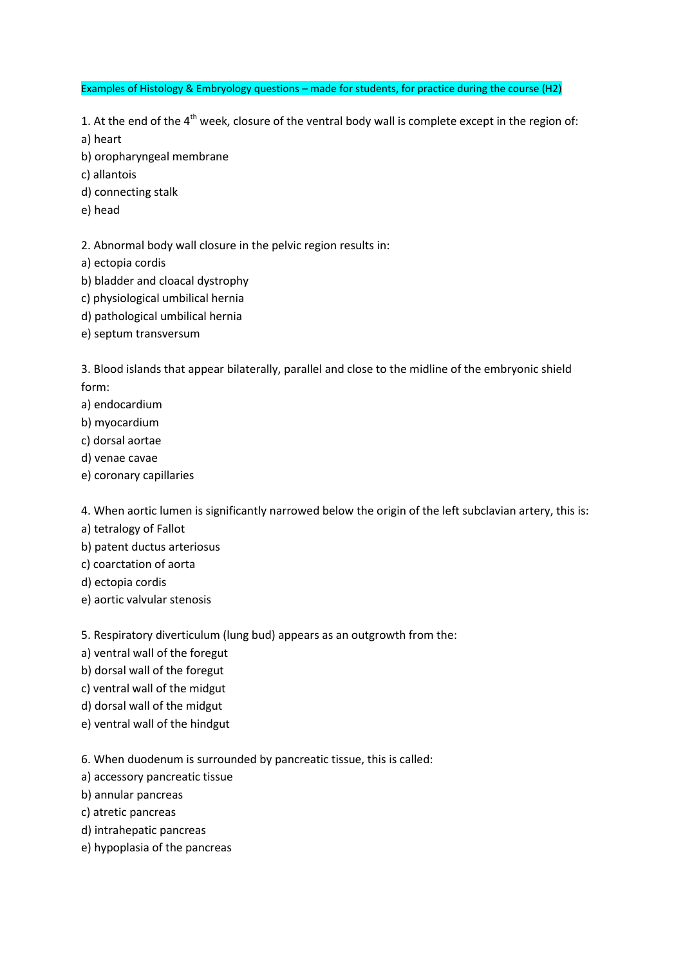Examples of Histology & Embryology questions – made for students, for practice during the course (H2)

1. At the end of the  $4<sup>th</sup>$  week, closure of the ventral body wall is complete except in the region of: a) heart

b) oropharyngeal membrane

- c) allantois
- d) connecting stalk
- e) head

2. Abnormal body wall closure in the pelvic region results in:

- a) ectopia cordis
- b) bladder and cloacal dystrophy
- c) physiological umbilical hernia
- d) pathological umbilical hernia
- e) septum transversum

3. Blood islands that appear bilaterally, parallel and close to the midline of the embryonic shield form:

- a) endocardium
- b) myocardium
- c) dorsal aortae
- d) venae cavae
- e) coronary capillaries

4. When aortic lumen is significantly narrowed below the origin of the left subclavian artery, this is:

- a) tetralogy of Fallot
- b) patent ductus arteriosus
- c) coarctation of aorta
- d) ectopia cordis
- e) aortic valvular stenosis

5. Respiratory diverticulum (lung bud) appears as an outgrowth from the:

- a) ventral wall of the foregut
- b) dorsal wall of the foregut
- c) ventral wall of the midgut
- d) dorsal wall of the midgut
- e) ventral wall of the hindgut

6. When duodenum is surrounded by pancreatic tissue, this is called:

- a) accessory pancreatic tissue
- b) annular pancreas
- c) atretic pancreas
- d) intrahepatic pancreas
- e) hypoplasia of the pancreas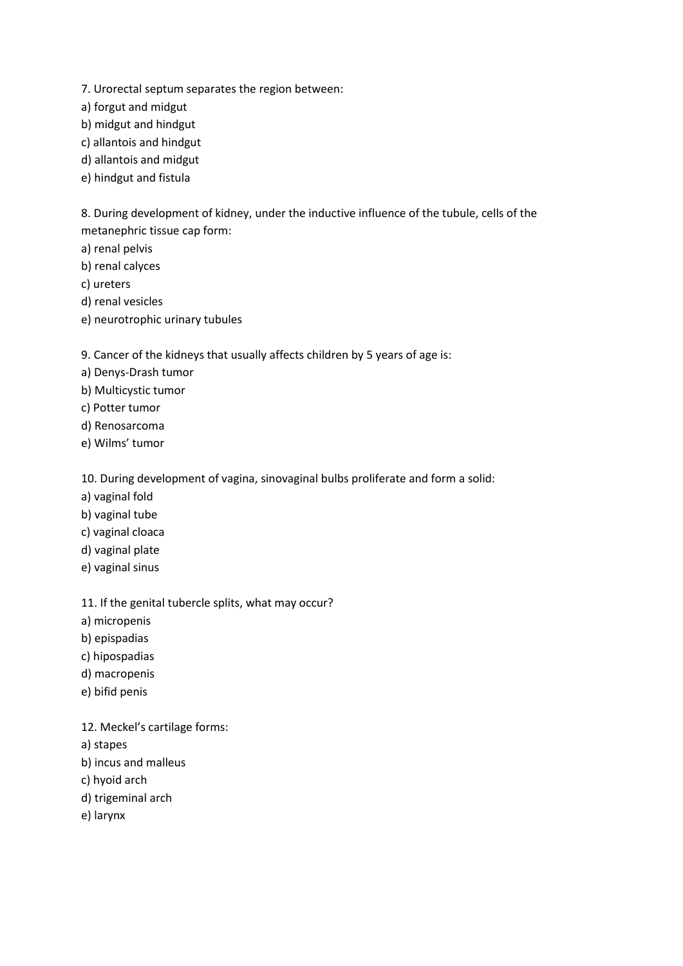- 7. Urorectal septum separates the region between:
- a) forgut and midgut
- b) midgut and hindgut
- c) allantois and hindgut
- d) allantois and midgut
- e) hindgut and fistula

8. During development of kidney, under the inductive influence of the tubule, cells of the metanephric tissue cap form:

- a) renal pelvis
- b) renal calyces
- c) ureters
- d) renal vesicles
- e) neurotrophic urinary tubules

9. Cancer of the kidneys that usually affects children by 5 years of age is:

- a) Denys-Drash tumor
- b) Multicystic tumor
- c) Potter tumor
- d) Renosarcoma
- e) Wilms' tumor

10. During development of vagina, sinovaginal bulbs proliferate and form a solid:

- a) vaginal fold
- b) vaginal tube
- c) vaginal cloaca
- d) vaginal plate
- e) vaginal sinus

11. If the genital tubercle splits, what may occur?

- a) micropenis
- b) epispadias
- c) hipospadias
- d) macropenis
- e) bifid penis

12. Meckel's cartilage forms:

- a) stapes
- b) incus and malleus
- c) hyoid arch
- d) trigeminal arch
- e) larynx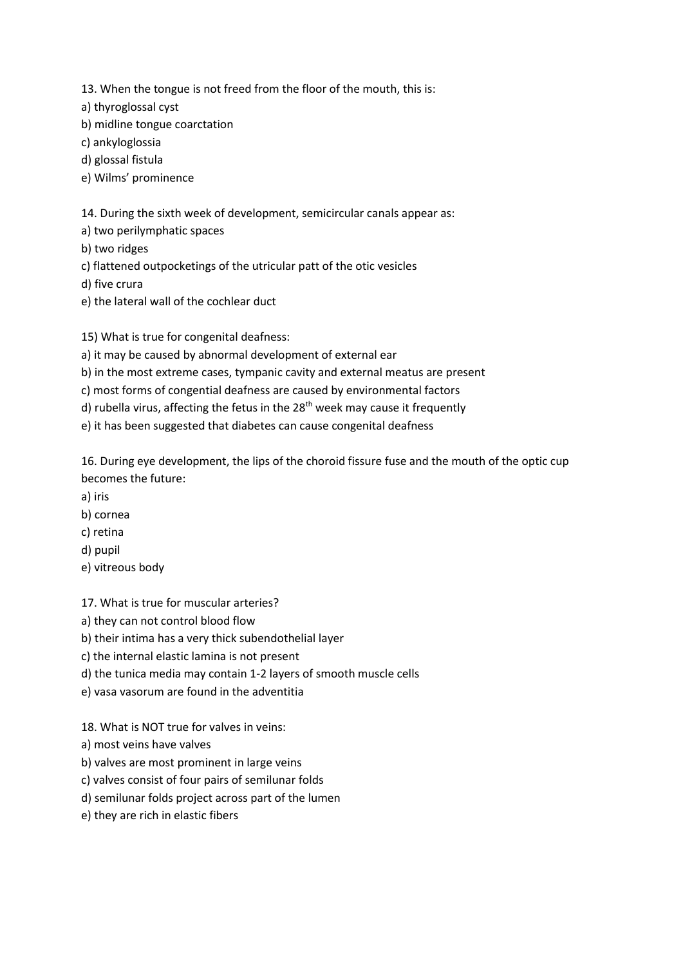13. When the tongue is not freed from the floor of the mouth, this is:

a) thyroglossal cyst

b) midline tongue coarctation

c) ankyloglossia

d) glossal fistula

e) Wilms' prominence

14. During the sixth week of development, semicircular canals appear as:

a) two perilymphatic spaces

b) two ridges

c) flattened outpocketings of the utricular patt of the otic vesicles

d) five crura

e) the lateral wall of the cochlear duct

15) What is true for congenital deafness:

a) it may be caused by abnormal development of external ear

b) in the most extreme cases, tympanic cavity and external meatus are present

c) most forms of congential deafness are caused by environmental factors

d) rubella virus, affecting the fetus in the  $28<sup>th</sup>$  week may cause it frequently

e) it has been suggested that diabetes can cause congenital deafness

16. During eye development, the lips of the choroid fissure fuse and the mouth of the optic cup becomes the future:

- a) iris
- b) cornea
- c) retina
- d) pupil
- e) vitreous body

17. What is true for muscular arteries?

a) they can not control blood flow

b) their intima has a very thick subendothelial layer

- c) the internal elastic lamina is not present
- d) the tunica media may contain 1-2 layers of smooth muscle cells
- e) vasa vasorum are found in the adventitia

18. What is NOT true for valves in veins:

a) most veins have valves

b) valves are most prominent in large veins

c) valves consist of four pairs of semilunar folds

d) semilunar folds project across part of the lumen

e) they are rich in elastic fibers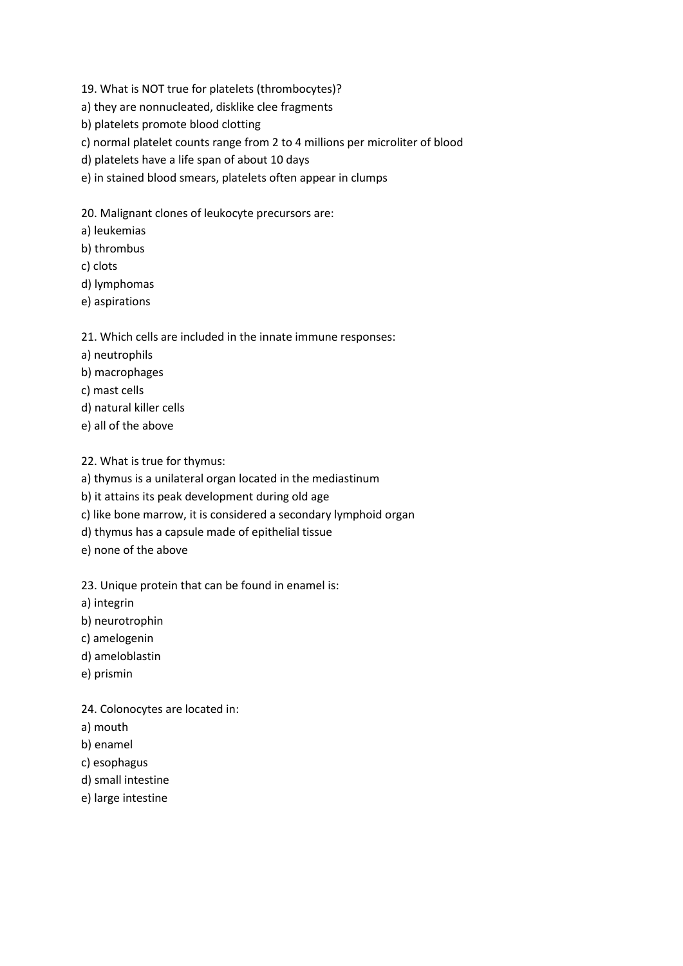- 19. What is NOT true for platelets (thrombocytes)?
- a) they are nonnucleated, disklike clee fragments
- b) platelets promote blood clotting
- c) normal platelet counts range from 2 to 4 millions per microliter of blood
- d) platelets have a life span of about 10 days
- e) in stained blood smears, platelets often appear in clumps
- 20. Malignant clones of leukocyte precursors are:
- a) leukemias
- b) thrombus
- c) clots
- d) lymphomas
- e) aspirations

## 21. Which cells are included in the innate immune responses:

- a) neutrophils
- b) macrophages
- c) mast cells
- d) natural killer cells
- e) all of the above

22. What is true for thymus:

a) thymus is a unilateral organ located in the mediastinum

b) it attains its peak development during old age

- c) like bone marrow, it is considered a secondary lymphoid organ
- d) thymus has a capsule made of epithelial tissue
- e) none of the above

23. Unique protein that can be found in enamel is:

- a) integrin
- b) neurotrophin
- c) amelogenin
- d) ameloblastin
- e) prismin

24. Colonocytes are located in:

- a) mouth
- b) enamel
- c) esophagus
- d) small intestine
- e) large intestine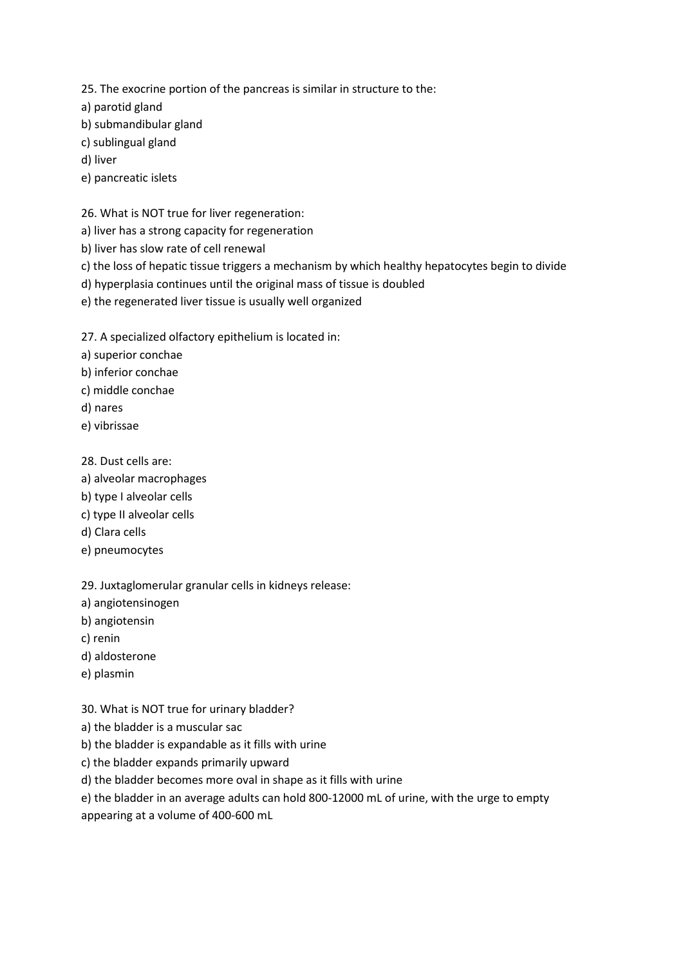25. The exocrine portion of the pancreas is similar in structure to the:

a) parotid gland

b) submandibular gland

c) sublingual gland

d) liver

e) pancreatic islets

26. What is NOT true for liver regeneration:

a) liver has a strong capacity for regeneration

b) liver has slow rate of cell renewal

c) the loss of hepatic tissue triggers a mechanism by which healthy hepatocytes begin to divide

d) hyperplasia continues until the original mass of tissue is doubled

e) the regenerated liver tissue is usually well organized

27. A specialized olfactory epithelium is located in:

a) superior conchae

b) inferior conchae

c) middle conchae

d) nares

e) vibrissae

28. Dust cells are:

- a) alveolar macrophages
- b) type I alveolar cells
- c) type II alveolar cells
- d) Clara cells
- e) pneumocytes

29. Juxtaglomerular granular cells in kidneys release:

a) angiotensinogen

b) angiotensin

c) renin

- d) aldosterone
- e) plasmin

30. What is NOT true for urinary bladder?

a) the bladder is a muscular sac

b) the bladder is expandable as it fills with urine

c) the bladder expands primarily upward

d) the bladder becomes more oval in shape as it fills with urine

e) the bladder in an average adults can hold 800-12000 mL of urine, with the urge to empty

appearing at a volume of 400-600 mL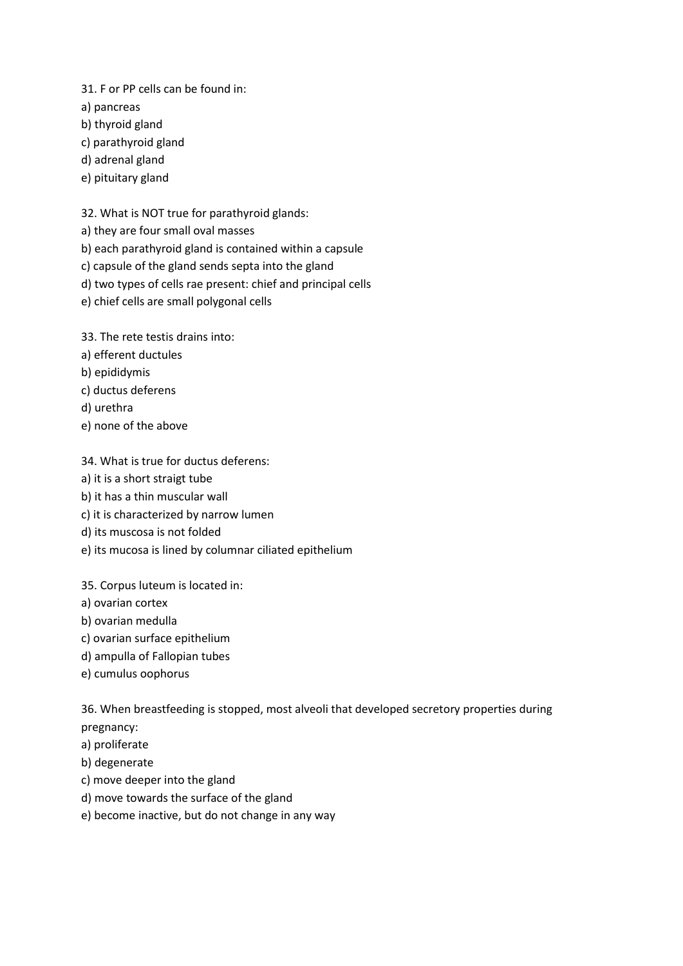31. F or PP cells can be found in:

a) pancreas

- b) thyroid gland
- c) parathyroid gland
- d) adrenal gland
- e) pituitary gland

32. What is NOT true for parathyroid glands:

- a) they are four small oval masses
- b) each parathyroid gland is contained within a capsule
- c) capsule of the gland sends septa into the gland
- d) two types of cells rae present: chief and principal cells
- e) chief cells are small polygonal cells

33. The rete testis drains into:

- a) efferent ductules
- b) epididymis
- c) ductus deferens
- d) urethra
- e) none of the above

## 34. What is true for ductus deferens:

- a) it is a short straigt tube
- b) it has a thin muscular wall
- c) it is characterized by narrow lumen
- d) its muscosa is not folded
- e) its mucosa is lined by columnar ciliated epithelium

35. Corpus luteum is located in:

- a) ovarian cortex
- b) ovarian medulla
- c) ovarian surface epithelium
- d) ampulla of Fallopian tubes
- e) cumulus oophorus

36. When breastfeeding is stopped, most alveoli that developed secretory properties during pregnancy:

- a) proliferate
- b) degenerate
- c) move deeper into the gland
- d) move towards the surface of the gland
- e) become inactive, but do not change in any way